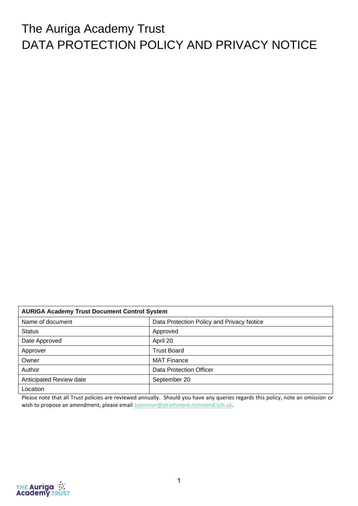# The Auriga Academy Trust DATA PROTECTION POLICY AND PRIVACY NOTICE

| <b>AURIGA Academy Trust Document Control System</b>           |                                |  |  |
|---------------------------------------------------------------|--------------------------------|--|--|
| Name of document<br>Data Protection Policy and Privacy Notice |                                |  |  |
| <b>Status</b>                                                 | Approved                       |  |  |
| April 20<br>Date Approved                                     |                                |  |  |
| Approver                                                      | <b>Trust Board</b>             |  |  |
| Owner                                                         | <b>MAT Finance</b>             |  |  |
| Author                                                        | <b>Data Protection Officer</b> |  |  |
| Anticipated Review date                                       | September 20                   |  |  |
| Location                                                      |                                |  |  |

Please note that all Trust policies are reviewed annually. Should you have any queries regards this policy, note an omission or wish to propose an amendment, please email [sconnnor@strathmore.richmond.sch.uk.](mailto:sconnnor@strathmore.richmond.sch.uk)

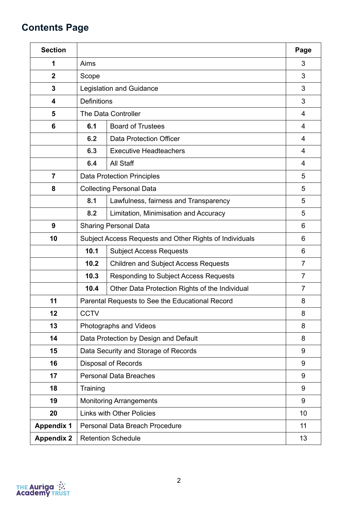## **Contents Page**

| <b>Section</b>    |                                                         |                                                 |                |  |  |
|-------------------|---------------------------------------------------------|-------------------------------------------------|----------------|--|--|
| 1                 | Aims                                                    |                                                 | 3              |  |  |
| $\boldsymbol{2}$  | Scope                                                   |                                                 | 3              |  |  |
| 3                 |                                                         | <b>Legislation and Guidance</b>                 | 3              |  |  |
| 4                 | <b>Definitions</b>                                      |                                                 | 3              |  |  |
| 5                 |                                                         | The Data Controller                             |                |  |  |
| 6                 | 6.1                                                     | <b>Board of Trustees</b>                        | 4              |  |  |
|                   | 6.2                                                     | <b>Data Protection Officer</b>                  | $\overline{4}$ |  |  |
|                   | 6.3                                                     | <b>Executive Headteachers</b>                   |                |  |  |
|                   | 6.4                                                     | All Staff                                       |                |  |  |
| $\overline{7}$    |                                                         | <b>Data Protection Principles</b>               |                |  |  |
| 8                 | <b>Collecting Personal Data</b>                         |                                                 |                |  |  |
|                   | 8.1<br>Lawfulness, fairness and Transparency            |                                                 |                |  |  |
|                   | 8.2<br>Limitation, Minimisation and Accuracy            |                                                 |                |  |  |
| 9                 | <b>Sharing Personal Data</b>                            |                                                 |                |  |  |
| 10                | Subject Access Requests and Other Rights of Individuals |                                                 |                |  |  |
|                   | 10.1<br><b>Subject Access Requests</b>                  |                                                 | 6              |  |  |
|                   | 10.2<br><b>Children and Subject Access Requests</b>     |                                                 | $\overline{7}$ |  |  |
|                   | 10.3                                                    | <b>Responding to Subject Access Requests</b>    | $\overline{7}$ |  |  |
|                   | 10.4                                                    | Other Data Protection Rights of the Individual  | $\overline{7}$ |  |  |
| 11                |                                                         | Parental Requests to See the Educational Record | 8              |  |  |
| 12                | <b>CCTV</b>                                             |                                                 | 8              |  |  |
| 13                |                                                         | Photographs and Videos                          | 8              |  |  |
| 14                |                                                         | Data Protection by Design and Default           | 8              |  |  |
| 15                |                                                         | Data Security and Storage of Records            | 9              |  |  |
| 16                |                                                         | <b>Disposal of Records</b>                      | 9              |  |  |
| 17                |                                                         | <b>Personal Data Breaches</b>                   | 9              |  |  |
| 18                | Training                                                |                                                 | 9              |  |  |
| 19                |                                                         | <b>Monitoring Arrangements</b>                  | 9              |  |  |
| 20                |                                                         | <b>Links with Other Policies</b>                | 10             |  |  |
| <b>Appendix 1</b> |                                                         | Personal Data Breach Procedure                  | 11             |  |  |
| <b>Appendix 2</b> |                                                         | <b>Retention Schedule</b>                       | 13             |  |  |

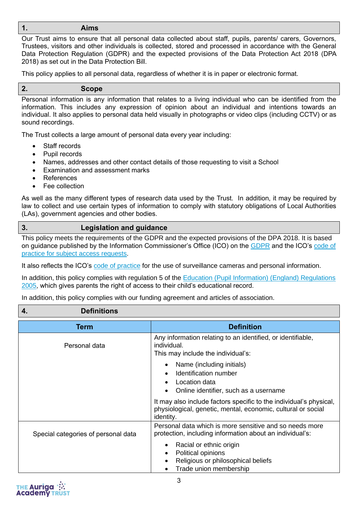#### **1. Aims**

Our Trust aims to ensure that all personal data collected about staff, pupils, parents/ carers, Governors, Trustees, visitors and other individuals is collected, stored and processed in accordance with the General Data Protection Regulation (GDPR) and the expected provisions of the Data Protection Act 2018 (DPA 2018) as set out in the Data Protection Bill.

This policy applies to all personal data, regardless of whether it is in paper or electronic format.

#### Personal information is any information that relates to a living individual who can be identified from the information. This includes any expression of opinion about an individual and intentions towards an individual. It also applies to personal data held visually in photographs or video clips (including CCTV) or as sound recordings.

The Trust collects a large amount of personal data every year including:

Staff records

**2. Scope**

- Pupil records
- Names, addresses and other contact details of those requesting to visit a School
- Examination and assessment marks
- References
- Fee collection

As well as the many different types of research data used by the Trust. In addition, it may be required by law to collect and use certain types of information to comply with statutory obligations of Local Authorities (LAs), government agencies and other bodies.

#### **3. Legislation and guidance**

This policy meets the requirements of the GDPR and the expected provisions of the DPA 2018. It is based on guidance published by the Information Commissioner's Office (ICO) on the [GDPR](https://ico.org.uk/for-organisations/guide-to-the-general-data-protection-regulation-gdpr/) and the ICO's code of [practice for subject access requests.](https://ico.org.uk/media/for-organisations/documents/2014223/subject-access-code-of-practice.pdf)

It also reflects the ICO's [code of practice](https://ico.org.uk/media/for-organisations/documents/1542/cctv-code-of-practice.pdf) for the use of surveillance cameras and personal information.

In addition, this policy complies with regulation 5 of the [Education \(Pupil Information\) \(England\) Regulations](http://www.legislation.gov.uk/uksi/2005/1437/regulation/5/made)  [2005,](http://www.legislation.gov.uk/uksi/2005/1437/regulation/5/made) which gives parents the right of access to their child's educational record.

In addition, this policy complies with our funding agreement and articles of association.

#### **4. Definitions**

| <b>Term</b>                         | <b>Definition</b>                                                                                                                               |
|-------------------------------------|-------------------------------------------------------------------------------------------------------------------------------------------------|
| Personal data                       | Any information relating to an identified, or identifiable,<br>individual.<br>This may include the individual's:                                |
|                                     | Name (including initials)<br>$\bullet$<br>Identification number<br>Location data<br>Online identifier, such as a username                       |
|                                     | It may also include factors specific to the individual's physical,<br>physiological, genetic, mental, economic, cultural or social<br>identity. |
| Special categories of personal data | Personal data which is more sensitive and so needs more<br>protection, including information about an individual's:                             |
|                                     | Racial or ethnic origin<br>٠<br>Political opinions<br>Religious or philosophical beliefs<br>Trade union membership                              |

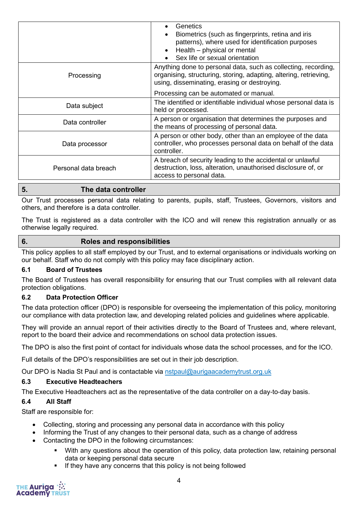|                      | Genetics<br>Biometrics (such as fingerprints, retina and iris<br>patterns), where used for identification purposes<br>Health - physical or mental<br>Sex life or sexual orientation |
|----------------------|-------------------------------------------------------------------------------------------------------------------------------------------------------------------------------------|
| Processing           | Anything done to personal data, such as collecting, recording,<br>organising, structuring, storing, adapting, altering, retrieving,<br>using, disseminating, erasing or destroying. |
|                      | Processing can be automated or manual.                                                                                                                                              |
| Data subject         | The identified or identifiable individual whose personal data is<br>held or processed.                                                                                              |
| Data controller      | A person or organisation that determines the purposes and<br>the means of processing of personal data.                                                                              |
| Data processor       | A person or other body, other than an employee of the data<br>controller, who processes personal data on behalf of the data<br>controller.                                          |
| Personal data breach | A breach of security leading to the accidental or unlawful<br>destruction, loss, alteration, unauthorised disclosure of, or<br>access to personal data.                             |

## **5. The data controller**

Our Trust processes personal data relating to parents, pupils, staff, Trustees, Governors, visitors and others, and therefore is a data controller.

The Trust is registered as a data controller with the ICO and will renew this registration annually or as otherwise legally required.

#### **6. Roles and responsibilities**

This policy applies to all staff employed by our Trust, and to external organisations or individuals working on our behalf. Staff who do not comply with this policy may face disciplinary action.

#### **6.1 Board of Trustees**

The Board of Trustees has overall responsibility for ensuring that our Trust complies with all relevant data protection obligations.

#### **6.2 Data Protection Officer**

The data protection officer (DPO) is responsible for overseeing the implementation of this policy, monitoring our compliance with data protection law, and developing related policies and guidelines where applicable.

They will provide an annual report of their activities directly to the Board of Trustees and, where relevant, report to the board their advice and recommendations on school data protection issues.

The DPO is also the first point of contact for individuals whose data the school processes, and for the ICO.

Full details of the DPO's responsibilities are set out in their job description.

Our DPO is Nadia St Paul and is contactable via [nstpaul@aurigaacademytrust.org.uk](mailto:nstpaul@aurigaacademytrust.org.uk)

#### **6.3 Executive Headteachers**

The Executive Headteachers act as the representative of the data controller on a day-to-day basis.

#### **6.4 All Staff**

Staff are responsible for:

- Collecting, storing and processing any personal data in accordance with this policy
- Informing the Trust of any changes to their personal data, such as a change of address
- Contacting the DPO in the following circumstances:
	- With any questions about the operation of this policy, data protection law, retaining personal data or keeping personal data secure
	- If they have any concerns that this policy is not being followed

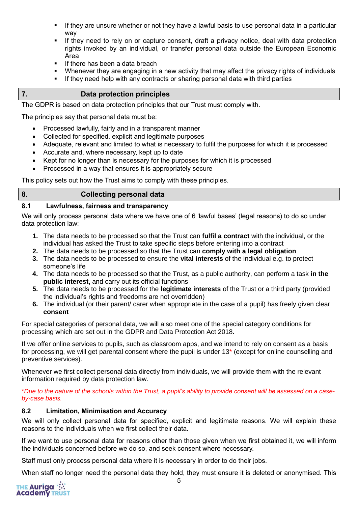- If they are unsure whether or not they have a lawful basis to use personal data in a particular way
- **EXT** If they need to rely on or capture consent, draft a privacy notice, deal with data protection rights invoked by an individual, or transfer personal data outside the European Economic Area
- **■** If there has been a data breach
- Whenever they are engaging in a new activity that may affect the privacy rights of individuals
- If they need help with any contracts or sharing personal data with third parties

#### **7. Data protection principles**

The GDPR is based on data protection principles that our Trust must comply with.

The principles say that personal data must be:

- Processed lawfully, fairly and in a transparent manner
- Collected for specified, explicit and legitimate purposes
- Adequate, relevant and limited to what is necessary to fulfil the purposes for which it is processed
- Accurate and, where necessary, kept up to date
- Kept for no longer than is necessary for the purposes for which it is processed
- Processed in a way that ensures it is appropriately secure

This policy sets out how the Trust aims to comply with these principles.

#### **8. Collecting personal data**

#### **8.1 Lawfulness, fairness and transparency**

We will only process personal data where we have one of 6 'lawful bases' (legal reasons) to do so under data protection law:

- **1.** The data needs to be processed so that the Trust can **fulfil a contract** with the individual, or the individual has asked the Trust to take specific steps before entering into a contract
- **2.** The data needs to be processed so that the Trust can **comply with a legal obligation**
- **3.** The data needs to be processed to ensure the **vital interests** of the individual e.g. to protect someone's life
- **4.** The data needs to be processed so that the Trust, as a public authority, can perform a task **in the public interest,** and carry out its official functions
- **5.** The data needs to be processed for the **legitimate interests** of the Trust or a third party (provided the individual's rights and freedoms are not overridden)
- **6.** The individual (or their parent/ carer when appropriate in the case of a pupil) has freely given clear **consent**

For special categories of personal data, we will also meet one of the special category conditions for processing which are set out in the GDPR and Data Protection Act 2018.

If we offer online services to pupils, such as classroom apps, and we intend to rely on consent as a basis for processing, we will get parental consent where the pupil is under 13\* (except for online counselling and preventive services).

Whenever we first collect personal data directly from individuals, we will provide them with the relevant information required by data protection law.

\**Due to the nature of the schools within the Trust, a pupil's ability to provide consent will be assessed on a caseby-case basis.*

#### **8.2 Limitation, Minimisation and Accuracy**

We will only collect personal data for specified, explicit and legitimate reasons. We will explain these reasons to the individuals when we first collect their data.

If we want to use personal data for reasons other than those given when we first obtained it, we will inform the individuals concerned before we do so, and seek consent where necessary.

Staff must only process personal data where it is necessary in order to do their jobs.

When staff no longer need the personal data they hold, they must ensure it is deleted or anonymised. This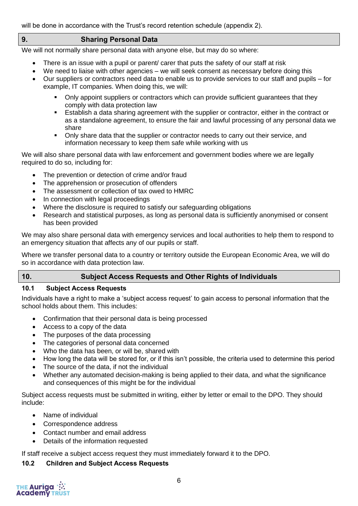will be done in accordance with the Trust's record retention schedule (appendix 2).

#### **9. Sharing Personal Data**

We will not normally share personal data with anyone else, but may do so where:

- There is an issue with a pupil or parent/ carer that puts the safety of our staff at risk
- We need to liaise with other agencies we will seek consent as necessary before doing this
- Our suppliers or contractors need data to enable us to provide services to our staff and pupils for example, IT companies. When doing this, we will:
	- Only appoint suppliers or contractors which can provide sufficient quarantees that they comply with data protection law
	- **E** Establish a data sharing agreement with the supplier or contractor, either in the contract or as a standalone agreement, to ensure the fair and lawful processing of any personal data we share
	- Only share data that the supplier or contractor needs to carry out their service, and information necessary to keep them safe while working with us

We will also share personal data with law enforcement and government bodies where we are legally required to do so, including for:

- The prevention or detection of crime and/or fraud
- The apprehension or prosecution of offenders
- The assessment or collection of tax owed to HMRC.
- In connection with legal proceedings
- Where the disclosure is required to satisfy our safeguarding obligations
- Research and statistical purposes, as long as personal data is sufficiently anonymised or consent has been provided

We may also share personal data with emergency services and local authorities to help them to respond to an emergency situation that affects any of our pupils or staff.

Where we transfer personal data to a country or territory outside the European Economic Area, we will do so in accordance with data protection law.

## **10. Subject Access Requests and Other Rights of Individuals**

#### **10.1 Subject Access Requests**

Individuals have a right to make a 'subject access request' to gain access to personal information that the school holds about them. This includes:

- Confirmation that their personal data is being processed
- Access to a copy of the data
- The purposes of the data processing
- The categories of personal data concerned
- Who the data has been, or will be, shared with
- How long the data will be stored for, or if this isn't possible, the criteria used to determine this period
- The source of the data, if not the individual
- Whether any automated decision-making is being applied to their data, and what the significance and consequences of this might be for the individual

Subject access requests must be submitted in writing, either by letter or email to the DPO. They should include:

- Name of individual
- Correspondence address
- Contact number and email address
- Details of the information requested

If staff receive a subject access request they must immediately forward it to the DPO.

#### **10.2 Children and Subject Access Requests**

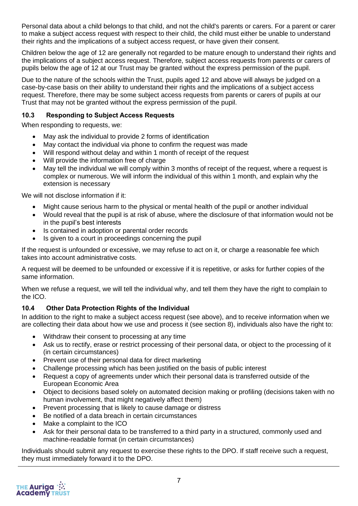Personal data about a child belongs to that child, and not the child's parents or carers. For a parent or carer to make a subject access request with respect to their child, the child must either be unable to understand their rights and the implications of a subject access request, or have given their consent.

Children below the age of 12 are generally not regarded to be mature enough to understand their rights and the implications of a subject access request. Therefore, subject access requests from parents or carers of pupils below the age of 12 at our Trust may be granted without the express permission of the pupil.

Due to the nature of the schools within the Trust, pupils aged 12 and above will always be judged on a case-by-case basis on their ability to understand their rights and the implications of a subject access request. Therefore, there may be some subject access requests from parents or carers of pupils at our Trust that may not be granted without the express permission of the pupil.

#### **10.3 Responding to Subject Access Requests**

When responding to requests, we:

- May ask the individual to provide 2 forms of identification
- May contact the individual via phone to confirm the request was made
- Will respond without delay and within 1 month of receipt of the request
- Will provide the information free of charge
- May tell the individual we will comply within 3 months of receipt of the request, where a request is complex or numerous. We will inform the individual of this within 1 month, and explain why the extension is necessary

We will not disclose information if it:

- Might cause serious harm to the physical or mental health of the pupil or another individual
- Would reveal that the pupil is at risk of abuse, where the disclosure of that information would not be in the pupil's best interests
- Is contained in adoption or parental order records
- Is given to a court in proceedings concerning the pupil

If the request is unfounded or excessive, we may refuse to act on it, or charge a reasonable fee which takes into account administrative costs.

A request will be deemed to be unfounded or excessive if it is repetitive, or asks for further copies of the same information.

When we refuse a request, we will tell the individual why, and tell them they have the right to complain to the ICO.

#### **10.4 Other Data Protection Rights of the Individual**

In addition to the right to make a subject access request (see above), and to receive information when we are collecting their data about how we use and process it (see section 8), individuals also have the right to:

- Withdraw their consent to processing at any time
- Ask us to rectify, erase or restrict processing of their personal data, or object to the processing of it (in certain circumstances)
- Prevent use of their personal data for direct marketing
- Challenge processing which has been justified on the basis of public interest
- Request a copy of agreements under which their personal data is transferred outside of the European Economic Area
- Object to decisions based solely on automated decision making or profiling (decisions taken with no human involvement, that might negatively affect them)
- Prevent processing that is likely to cause damage or distress
- Be notified of a data breach in certain circumstances
- Make a complaint to the ICO
- Ask for their personal data to be transferred to a third party in a structured, commonly used and machine-readable format (in certain circumstances)

Individuals should submit any request to exercise these rights to the DPO. If staff receive such a request, they must immediately forward it to the DPO.

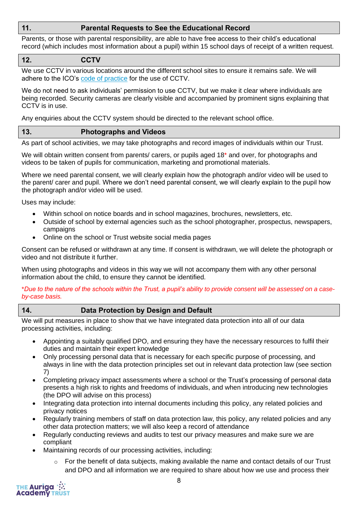## **11. Parental Requests to See the Educational Record**

Parents, or those with parental responsibility, are able to have free access to their child's educational record (which includes most information about a pupil) within 15 school days of receipt of a written request.

#### **12. CCTV**

We use CCTV in various locations around the different school sites to ensure it remains safe. We will adhere to the ICO's [code of practice](https://ico.org.uk/media/for-organisations/documents/1542/cctv-code-of-practice.pdf) for the use of CCTV.

We do not need to ask individuals' permission to use CCTV, but we make it clear where individuals are being recorded. Security cameras are clearly visible and accompanied by prominent signs explaining that CCTV is in use.

Any enquiries about the CCTV system should be directed to the relevant school office.

#### **13. Photographs and Videos**

As part of school activities, we may take photographs and record images of individuals within our Trust.

We will obtain written consent from parents/ carers, or pupils aged 18<sup>\*</sup> and over, for photographs and videos to be taken of pupils for communication, marketing and promotional materials.

Where we need parental consent, we will clearly explain how the photograph and/or video will be used to the parent/ carer and pupil. Where we don't need parental consent, we will clearly explain to the pupil how the photograph and/or video will be used.

Uses may include:

- Within school on notice boards and in school magazines, brochures, newsletters, etc.
- Outside of school by external agencies such as the school photographer, prospectus, newspapers, campaigns
- Online on the school or Trust website social media pages

Consent can be refused or withdrawn at any time. If consent is withdrawn, we will delete the photograph or video and not distribute it further.

When using photographs and videos in this way we will not accompany them with any other personal information about the child, to ensure they cannot be identified.

\**Due to the nature of the schools within the Trust, a pupil's ability to provide consent will be assessed on a caseby-case basis.*

## **14. Data Protection by Design and Default**

We will put measures in place to show that we have integrated data protection into all of our data processing activities, including:

- Appointing a suitably qualified DPO, and ensuring they have the necessary resources to fulfil their duties and maintain their expert knowledge
- Only processing personal data that is necessary for each specific purpose of processing, and always in line with the data protection principles set out in relevant data protection law (see section 7)
- Completing privacy impact assessments where a school or the Trust's processing of personal data presents a high risk to rights and freedoms of individuals, and when introducing new technologies (the DPO will advise on this process)
- Integrating data protection into internal documents including this policy, any related policies and privacy notices
- Regularly training members of staff on data protection law, this policy, any related policies and any other data protection matters; we will also keep a record of attendance
- Regularly conducting reviews and audits to test our privacy measures and make sure we are compliant
- Maintaining records of our processing activities, including:
	- $\circ$  For the benefit of data subjects, making available the name and contact details of our Trust and DPO and all information we are required to share about how we use and process their

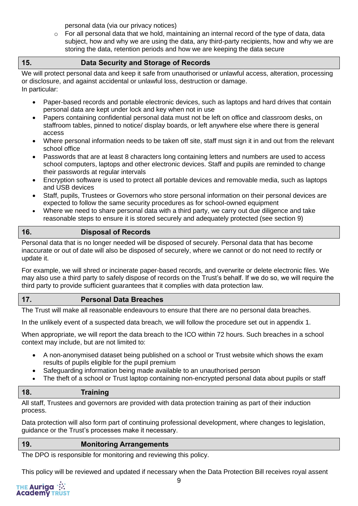personal data (via our privacy notices)

 $\circ$  For all personal data that we hold, maintaining an internal record of the type of data, data subject, how and why we are using the data, any third-party recipients, how and why we are storing the data, retention periods and how we are keeping the data secure

#### **15. Data Security and Storage of Records**

We will protect personal data and keep it safe from unauthorised or unlawful access, alteration, processing or disclosure, and against accidental or unlawful loss, destruction or damage. In particular:

• Paper-based records and portable electronic devices, such as laptops and hard drives that contain personal data are kept under lock and key when not in use

- Papers containing confidential personal data must not be left on office and classroom desks, on staffroom tables, pinned to notice/ display boards, or left anywhere else where there is general access
- Where personal information needs to be taken off site, staff must sign it in and out from the relevant school office
- Passwords that are at least 8 characters long containing letters and numbers are used to access school computers, laptops and other electronic devices. Staff and pupils are reminded to change their passwords at regular intervals
- Encryption software is used to protect all portable devices and removable media, such as laptops and USB devices
- Staff, pupils, Trustees or Governors who store personal information on their personal devices are expected to follow the same security procedures as for school-owned equipment
- Where we need to share personal data with a third party, we carry out due diligence and take reasonable steps to ensure it is stored securely and adequately protected (see section 9)

## **16. Disposal of Records**

Personal data that is no longer needed will be disposed of securely. Personal data that has become inaccurate or out of date will also be disposed of securely, where we cannot or do not need to rectify or update it.

For example, we will shred or incinerate paper-based records, and overwrite or delete electronic files. We may also use a third party to safely dispose of records on the Trust's behalf. If we do so, we will require the third party to provide sufficient guarantees that it complies with data protection law.

#### **17. Personal Data Breaches**

The Trust will make all reasonable endeavours to ensure that there are no personal data breaches.

In the unlikely event of a suspected data breach, we will follow the procedure set out in appendix 1.

When appropriate, we will report the data breach to the ICO within 72 hours. Such breaches in a school context may include, but are not limited to:

- A non-anonymised dataset being published on a school or Trust website which shows the exam results of pupils eligible for the pupil premium
- Safeguarding information being made available to an unauthorised person
- The theft of a school or Trust laptop containing non-encrypted personal data about pupils or staff

#### **18. Training**

All staff, Trustees and governors are provided with data protection training as part of their induction process.

Data protection will also form part of continuing professional development, where changes to legislation, guidance or the Trust's processes make it necessary.

#### **19. Monitoring Arrangements**

The DPO is responsible for monitoring and reviewing this policy.

This policy will be reviewed and updated if necessary when the Data Protection Bill receives royal assent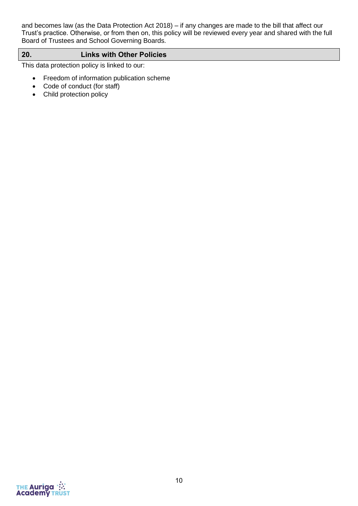and becomes law (as the Data Protection Act 2018) – if any changes are made to the bill that affect our Trust's practice. Otherwise, or from then on, this policy will be reviewed every year and shared with the full Board of Trustees and School Governing Boards.

#### **20. Links with Other Policies**

This data protection policy is linked to our:

- Freedom of information publication scheme
- Code of conduct (for staff)
- Child protection policy

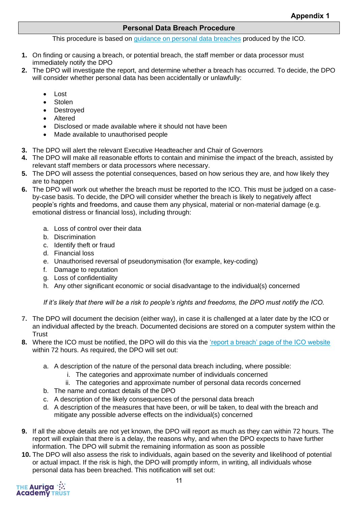#### **Personal Data Breach Procedure**

This procedure is based on [guidance on personal data breaches](https://ico.org.uk/for-organisations/guide-to-the-general-data-protection-regulation-gdpr/personal-data-breaches/) produced by the ICO.

- **1.** On finding or causing a breach, or potential breach, the staff member or data processor must immediately notify the DPO
- **2.** The DPO will investigate the report, and determine whether a breach has occurred. To decide, the DPO will consider whether personal data has been accidentally or unlawfully:
	- Lost
	- **Stolen**
	- Destroyed
	- Altered
	- Disclosed or made available where it should not have been
	- Made available to unauthorised people
- **3.** The DPO will alert the relevant Executive Headteacher and Chair of Governors
- **4.** The DPO will make all reasonable efforts to contain and minimise the impact of the breach, assisted by relevant staff members or data processors where necessary.
- **5.** The DPO will assess the potential consequences, based on how serious they are, and how likely they are to happen
- **6.** The DPO will work out whether the breach must be reported to the ICO. This must be judged on a caseby-case basis. To decide, the DPO will consider whether the breach is likely to negatively affect people's rights and freedoms, and cause them any physical, material or non-material damage (e.g. emotional distress or financial loss), including through:
	- a. Loss of control over their data
	- b. Discrimination
	- c. Identify theft or fraud
	- d. Financial loss
	- e. Unauthorised reversal of pseudonymisation (for example, key-coding)
	- f. Damage to reputation
	- g. Loss of confidentiality
	- h. Any other significant economic or social disadvantage to the individual(s) concerned

*If it's likely that there will be a risk to people's rights and freedoms, the DPO must notify the ICO.*

- **7.** The DPO will document the decision (either way), in case it is challenged at a later date by the ICO or an individual affected by the breach. Documented decisions are stored on a computer system within the **Trust**
- **8.** Where the ICO must be notified, the DPO will do this via the ['report a breach' page of the ICO website](https://ico.org.uk/for-organisations/report-a-breach/) within 72 hours. As required, the DPO will set out:
	- a. A description of the nature of the personal data breach including, where possible:
		- i. The categories and approximate number of individuals concerned
		- ii. The categories and approximate number of personal data records concerned
	- b. The name and contact details of the DPO
	- c. A description of the likely consequences of the personal data breach
	- d. A description of the measures that have been, or will be taken, to deal with the breach and mitigate any possible adverse effects on the individual(s) concerned
- **9.** If all the above details are not yet known, the DPO will report as much as they can within 72 hours. The report will explain that there is a delay, the reasons why, and when the DPO expects to have further information. The DPO will submit the remaining information as soon as possible
- **10.** The DPO will also assess the risk to individuals, again based on the severity and likelihood of potential or actual impact. If the risk is high, the DPO will promptly inform, in writing, all individuals whose personal data has been breached. This notification will set out:

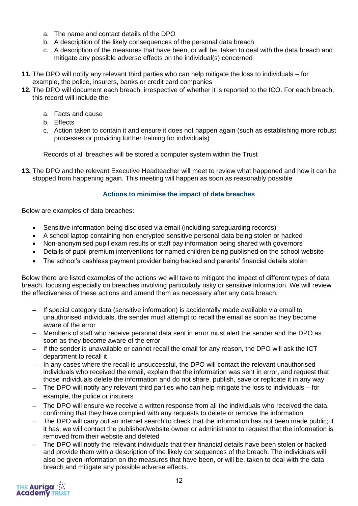- a. The name and contact details of the DPO
- b. A description of the likely consequences of the personal data breach
- c. A description of the measures that have been, or will be, taken to deal with the data breach and mitigate any possible adverse effects on the individual(s) concerned
- **11.** The DPO will notify any relevant third parties who can help mitigate the loss to individuals for example, the police, insurers, banks or credit card companies
- **12.** The DPO will document each breach, irrespective of whether it is reported to the ICO. For each breach, this record will include the:
	- a. Facts and cause
	- b. Effects
	- c. Action taken to contain it and ensure it does not happen again (such as establishing more robust processes or providing further training for individuals)

Records of all breaches will be stored a computer system within the Trust

**13.** The DPO and the relevant Executive Headteacher will meet to review what happened and how it can be stopped from happening again. This meeting will happen as soon as reasonably possible

#### **Actions to minimise the impact of data breaches**

Below are examples of data breaches:

- Sensitive information being disclosed via email (including safeguarding records)
- A school laptop containing non-encrypted sensitive personal data being stolen or hacked
- Non-anonymised pupil exam results or staff pay information being shared with governors
- Details of pupil premium interventions for named children being published on the school website
- The school's cashless payment provider being hacked and parents' financial details stolen

Below there are listed examples of the actions we will take to mitigate the impact of different types of data breach, focusing especially on breaches involving particularly risky or sensitive information. We will review the effectiveness of these actions and amend them as necessary after any data breach.

- − If special category data (sensitive information) is accidentally made available via email to unauthorised individuals, the sender must attempt to recall the email as soon as they become aware of the error
- − Members of staff who receive personal data sent in error must alert the sender and the DPO as soon as they become aware of the error
- − If the sender is unavailable or cannot recall the email for any reason, the DPO will ask the ICT department to recall it
- In any cases where the recall is unsuccessful, the DPO will contact the relevant unauthorised individuals who received the email, explain that the information was sent in error, and request that those individuals delete the information and do not share, publish, save or replicate it in any way
- − The DPO will notify any relevant third parties who can help mitigate the loss to individuals for example, the police or insurers
- − The DPO will ensure we receive a written response from all the individuals who received the data, confirming that they have complied with any requests to delete or remove the information
- The DPO will carry out an internet search to check that the information has not been made public; if it has, we will contact the publisher/website owner or administrator to request that the information is removed from their website and deleted
- The DPO will notify the relevant individuals that their financial details have been stolen or hacked and provide them with a description of the likely consequences of the breach. The individuals will also be given information on the measures that have been, or will be, taken to deal with the data breach and mitigate any possible adverse effects.

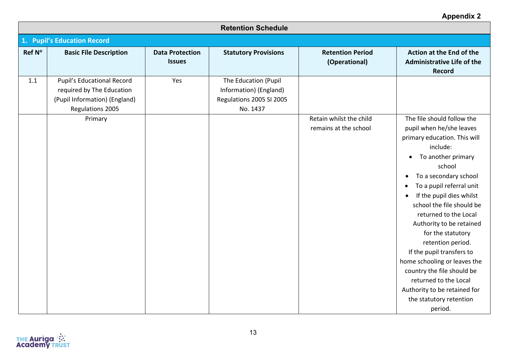## **Appendix 2**

|        | <b>Retention Schedule</b>                                                                                    |                                         |                                                                                        |                                                  |                                                                                                                                                                                                                                                                                                                                                                                                                                                                                                                                                                     |  |
|--------|--------------------------------------------------------------------------------------------------------------|-----------------------------------------|----------------------------------------------------------------------------------------|--------------------------------------------------|---------------------------------------------------------------------------------------------------------------------------------------------------------------------------------------------------------------------------------------------------------------------------------------------------------------------------------------------------------------------------------------------------------------------------------------------------------------------------------------------------------------------------------------------------------------------|--|
|        | 1. Pupil's Education Record                                                                                  |                                         |                                                                                        |                                                  |                                                                                                                                                                                                                                                                                                                                                                                                                                                                                                                                                                     |  |
| Ref N° | <b>Basic File Description</b>                                                                                | <b>Data Protection</b><br><b>Issues</b> | <b>Statutory Provisions</b>                                                            | <b>Retention Period</b><br>(Operational)         | Action at the End of the<br><b>Administrative Life of the</b><br>Record                                                                                                                                                                                                                                                                                                                                                                                                                                                                                             |  |
| 1.1    | Pupil's Educational Record<br>required by The Education<br>(Pupil Information) (England)<br>Regulations 2005 | Yes                                     | The Education (Pupil<br>Information) (England)<br>Regulations 2005 SI 2005<br>No. 1437 |                                                  |                                                                                                                                                                                                                                                                                                                                                                                                                                                                                                                                                                     |  |
|        | Primary                                                                                                      |                                         |                                                                                        | Retain whilst the child<br>remains at the school | The file should follow the<br>pupil when he/she leaves<br>primary education. This will<br>include:<br>To another primary<br>$\bullet$<br>school<br>To a secondary school<br>$\bullet$<br>To a pupil referral unit<br>If the pupil dies whilst<br>school the file should be<br>returned to the Local<br>Authority to be retained<br>for the statutory<br>retention period.<br>If the pupil transfers to<br>home schooling or leaves the<br>country the file should be<br>returned to the Local<br>Authority to be retained for<br>the statutory retention<br>period. |  |

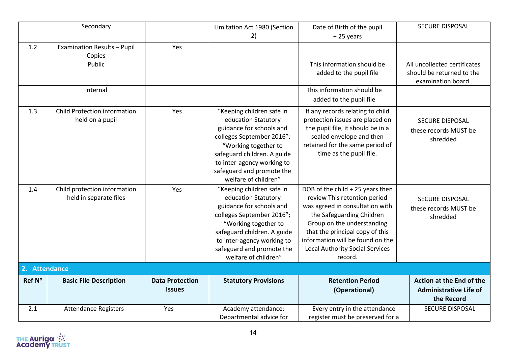|               | Secondary                                              |                                         | Limitation Act 1980 (Section<br>2)                                                                                                                                                                                                                  | Date of Birth of the pupil<br>+25 years                                                                                                                                                                                                                                                    | <b>SECURE DISPOSAL</b>                                                          |
|---------------|--------------------------------------------------------|-----------------------------------------|-----------------------------------------------------------------------------------------------------------------------------------------------------------------------------------------------------------------------------------------------------|--------------------------------------------------------------------------------------------------------------------------------------------------------------------------------------------------------------------------------------------------------------------------------------------|---------------------------------------------------------------------------------|
| 1.2           | Examination Results - Pupil<br>Copies                  | Yes                                     |                                                                                                                                                                                                                                                     |                                                                                                                                                                                                                                                                                            |                                                                                 |
|               | Public                                                 |                                         |                                                                                                                                                                                                                                                     | This information should be<br>added to the pupil file                                                                                                                                                                                                                                      | All uncollected certificates<br>should be returned to the<br>examination board. |
|               | Internal                                               |                                         |                                                                                                                                                                                                                                                     | This information should be<br>added to the pupil file                                                                                                                                                                                                                                      |                                                                                 |
| 1.3           | Child Protection information<br>held on a pupil        | Yes                                     | "Keeping children safe in<br>education Statutory<br>guidance for schools and<br>colleges September 2016";<br>"Working together to<br>safeguard children. A guide<br>to inter-agency working to<br>safeguard and promote the<br>welfare of children" | If any records relating to child<br>protection issues are placed on<br>the pupil file, it should be in a<br>sealed envelope and then<br>retained for the same period of<br>time as the pupil file.                                                                                         | <b>SECURE DISPOSAL</b><br>these records MUST be<br>shredded                     |
| 1.4           | Child protection information<br>held in separate files | Yes                                     | "Keeping children safe in<br>education Statutory<br>guidance for schools and<br>colleges September 2016";<br>"Working together to<br>safeguard children. A guide<br>to inter-agency working to<br>safeguard and promote the<br>welfare of children" | DOB of the child + 25 years then<br>review This retention period<br>was agreed in consultation with<br>the Safeguarding Children<br>Group on the understanding<br>that the principal copy of this<br>information will be found on the<br><b>Local Authority Social Services</b><br>record. | <b>SECURE DISPOSAL</b><br>these records MUST be<br>shredded                     |
| 2. Attendance |                                                        |                                         |                                                                                                                                                                                                                                                     |                                                                                                                                                                                                                                                                                            |                                                                                 |
| Ref N°        | <b>Basic File Description</b>                          | <b>Data Protection</b><br><b>Issues</b> | <b>Statutory Provisions</b>                                                                                                                                                                                                                         | <b>Retention Period</b><br>(Operational)                                                                                                                                                                                                                                                   | Action at the End of the<br><b>Administrative Life of</b><br>the Record         |
| 2.1           | <b>Attendance Registers</b>                            | Yes                                     | Academy attendance:<br>Departmental advice for                                                                                                                                                                                                      | Every entry in the attendance<br>register must be preserved for a                                                                                                                                                                                                                          | <b>SECURE DISPOSAL</b>                                                          |

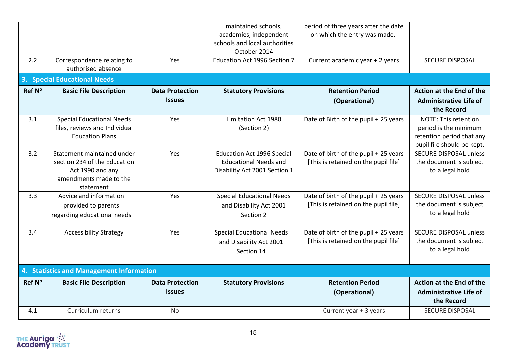| 2.2    | Correspondence relating to<br>authorised absence                                                                      | Yes                                     | maintained schools,<br>academies, independent<br>schools and local authorities<br>October 2014<br><b>Education Act 1996 Section 7</b> | period of three years after the date<br>on which the entry was made.<br>Current academic year + 2 years | <b>SECURE DISPOSAL</b>                                                                                          |  |  |  |
|--------|-----------------------------------------------------------------------------------------------------------------------|-----------------------------------------|---------------------------------------------------------------------------------------------------------------------------------------|---------------------------------------------------------------------------------------------------------|-----------------------------------------------------------------------------------------------------------------|--|--|--|
|        | <b>3. Special Educational Needs</b>                                                                                   |                                         |                                                                                                                                       |                                                                                                         |                                                                                                                 |  |  |  |
| Ref N° | <b>Basic File Description</b>                                                                                         | <b>Data Protection</b><br><b>Issues</b> | <b>Statutory Provisions</b>                                                                                                           | <b>Retention Period</b><br>(Operational)                                                                | Action at the End of the<br><b>Administrative Life of</b><br>the Record                                         |  |  |  |
| 3.1    | <b>Special Educational Needs</b><br>files, reviews and Individual<br><b>Education Plans</b>                           | Yes                                     | Limitation Act 1980<br>(Section 2)                                                                                                    | Date of Birth of the pupil + 25 years                                                                   | <b>NOTE: This retention</b><br>period is the minimum<br>retention period that any<br>pupil file should be kept. |  |  |  |
| 3.2    | Statement maintained under<br>section 234 of the Education<br>Act 1990 and any<br>amendments made to the<br>statement | Yes                                     | <b>Education Act 1996 Special</b><br><b>Educational Needs and</b><br>Disability Act 2001 Section 1                                    | Date of birth of the pupil + 25 years<br>[This is retained on the pupil file]                           | <b>SECURE DISPOSAL unless</b><br>the document is subject<br>to a legal hold                                     |  |  |  |
| 3.3    | Advice and information<br>provided to parents<br>regarding educational needs                                          | Yes                                     | <b>Special Educational Needs</b><br>and Disability Act 2001<br>Section 2                                                              | Date of birth of the pupil + 25 years<br>[This is retained on the pupil file]                           | <b>SECURE DISPOSAL unless</b><br>the document is subject<br>to a legal hold                                     |  |  |  |
| 3.4    | <b>Accessibility Strategy</b>                                                                                         | Yes                                     | <b>Special Educational Needs</b><br>and Disability Act 2001<br>Section 14                                                             | Date of birth of the pupil + 25 years<br>[This is retained on the pupil file]                           | <b>SECURE DISPOSAL unless</b><br>the document is subject<br>to a legal hold                                     |  |  |  |
|        | 4. Statistics and Management Information                                                                              |                                         |                                                                                                                                       |                                                                                                         |                                                                                                                 |  |  |  |
| Ref N° | <b>Basic File Description</b>                                                                                         | <b>Data Protection</b><br><b>Issues</b> | <b>Statutory Provisions</b>                                                                                                           | <b>Retention Period</b><br>(Operational)                                                                | Action at the End of the<br><b>Administrative Life of</b><br>the Record                                         |  |  |  |
| 4.1    | Curriculum returns                                                                                                    | <b>No</b>                               |                                                                                                                                       | Current year + 3 years                                                                                  | <b>SECURE DISPOSAL</b>                                                                                          |  |  |  |

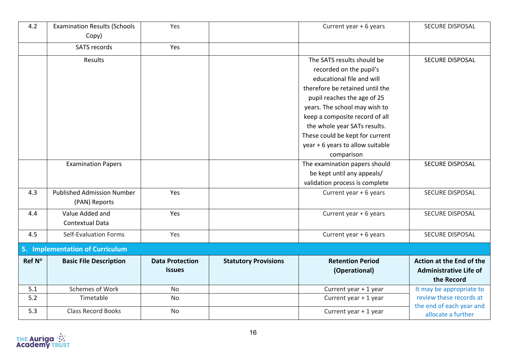| 4.2    | <b>Examination Results (Schools</b><br>Copy) | Yes                    |                             | Current year + 6 years           | <b>SECURE DISPOSAL</b>                         |
|--------|----------------------------------------------|------------------------|-----------------------------|----------------------------------|------------------------------------------------|
|        | <b>SATS records</b>                          | Yes                    |                             |                                  |                                                |
|        | Results                                      |                        |                             | The SATS results should be       | SECURE DISPOSAL                                |
|        |                                              |                        |                             | recorded on the pupil's          |                                                |
|        |                                              |                        |                             | educational file and will        |                                                |
|        |                                              |                        |                             | therefore be retained until the  |                                                |
|        |                                              |                        |                             | pupil reaches the age of 25      |                                                |
|        |                                              |                        |                             | years. The school may wish to    |                                                |
|        |                                              |                        |                             | keep a composite record of all   |                                                |
|        |                                              |                        |                             | the whole year SATs results.     |                                                |
|        |                                              |                        |                             | These could be kept for current  |                                                |
|        |                                              |                        |                             | year + 6 years to allow suitable |                                                |
|        |                                              |                        |                             | comparison                       |                                                |
|        | <b>Examination Papers</b>                    |                        |                             | The examination papers should    | <b>SECURE DISPOSAL</b>                         |
|        |                                              |                        |                             | be kept until any appeals/       |                                                |
|        |                                              |                        |                             | validation process is complete   |                                                |
| 4.3    | <b>Published Admission Number</b>            | Yes                    |                             | Current year + 6 years           | SECURE DISPOSAL                                |
|        | (PAN) Reports                                |                        |                             |                                  |                                                |
| 4.4    | Value Added and                              | Yes                    |                             | Current year + 6 years           | SECURE DISPOSAL                                |
|        | Contextual Data                              |                        |                             |                                  |                                                |
| 4.5    | Self-Evaluation Forms                        | Yes                    |                             | Current year + 6 years           | SECURE DISPOSAL                                |
|        | 5. Implementation of Curriculum              |                        |                             |                                  |                                                |
| Ref N° | <b>Basic File Description</b>                | <b>Data Protection</b> | <b>Statutory Provisions</b> | <b>Retention Period</b>          | Action at the End of the                       |
|        |                                              | <b>Issues</b>          |                             | (Operational)                    | <b>Administrative Life of</b>                  |
|        |                                              |                        |                             |                                  | the Record                                     |
| 5.1    | Schemes of Work                              | No                     |                             | Current year + 1 year            | It may be appropriate to                       |
| $5.2$  | Timetable                                    | No                     |                             | Current year + 1 year            | review these records at                        |
| 5.3    | <b>Class Record Books</b>                    | <b>No</b>              |                             | Current year + 1 year            | the end of each year and<br>allocate a further |

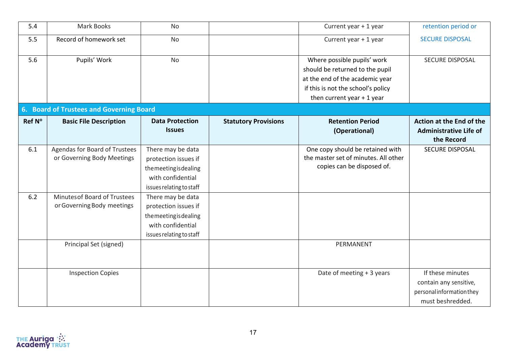| 5.4    | Mark Books                               | <b>No</b>                |                             | Current year + 1 year                | retention period or           |
|--------|------------------------------------------|--------------------------|-----------------------------|--------------------------------------|-------------------------------|
| 5.5    | Record of homework set                   | <b>No</b>                |                             | Current year + 1 year                | <b>SECURE DISPOSAL</b>        |
| 5.6    | Pupils' Work                             | <b>No</b>                |                             | Where possible pupils' work          | SECURE DISPOSAL               |
|        |                                          |                          |                             | should be returned to the pupil      |                               |
|        |                                          |                          |                             | at the end of the academic year      |                               |
|        |                                          |                          |                             | if this is not the school's policy   |                               |
|        |                                          |                          |                             | then current year $+1$ year          |                               |
|        | 6. Board of Trustees and Governing Board |                          |                             |                                      |                               |
| Ref N° | <b>Basic File Description</b>            | <b>Data Protection</b>   | <b>Statutory Provisions</b> | <b>Retention Period</b>              | Action at the End of the      |
|        |                                          | <b>Issues</b>            |                             | (Operational)                        | <b>Administrative Life of</b> |
|        |                                          |                          |                             |                                      | the Record                    |
| 6.1    | Agendas for Board of Trustees            | There may be data        |                             | One copy should be retained with     | SECURE DISPOSAL               |
|        | or Governing Body Meetings               | protection issues if     |                             | the master set of minutes. All other |                               |
|        |                                          | themeetingisdealing      |                             | copies can be disposed of.           |                               |
|        |                                          | with confidential        |                             |                                      |                               |
|        |                                          | issues relating to staff |                             |                                      |                               |
| 6.2    | Minutes of Board of Trustees             | There may be data        |                             |                                      |                               |
|        | or Governing Body meetings               | protection issues if     |                             |                                      |                               |
|        |                                          | themeetingisdealing      |                             |                                      |                               |
|        |                                          | with confidential        |                             |                                      |                               |
|        |                                          | issues relating to staff |                             |                                      |                               |
|        | Principal Set (signed)                   |                          |                             | PERMANENT                            |                               |
|        |                                          |                          |                             |                                      |                               |
|        |                                          |                          |                             |                                      |                               |
|        | <b>Inspection Copies</b>                 |                          |                             | Date of meeting + 3 years            | If these minutes              |
|        |                                          |                          |                             |                                      | contain any sensitive,        |
|        |                                          |                          |                             |                                      | personal information they     |
|        |                                          |                          |                             |                                      | must beshredded.              |

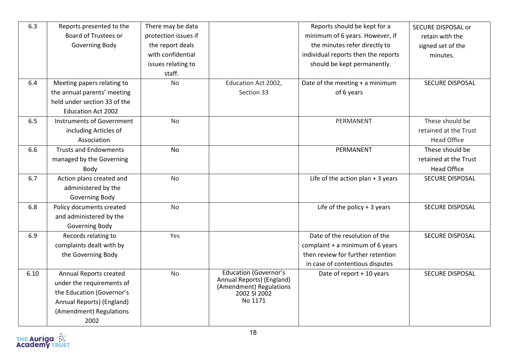| 6.3  | Reports presented to the     | There may be data    |                                                      | Reports should be kept for a        | <b>SECURE DISPOSAL or</b> |
|------|------------------------------|----------------------|------------------------------------------------------|-------------------------------------|---------------------------|
|      | Board of Trustees or         | protection issues if |                                                      | minimum of 6 years. However, if     | retain with the           |
|      | Governing Body               | the report deals     |                                                      | the minutes refer directly to       | signed set of the         |
|      |                              | with confidential    |                                                      | individual reports then the reports | minutes.                  |
|      |                              | issues relating to   |                                                      | should be kept permanently.         |                           |
|      |                              | staff.               |                                                      |                                     |                           |
| 6.4  | Meeting papers relating to   | <b>No</b>            | Education Act 2002,                                  | Date of the meeting + a minimum     | SECURE DISPOSAL           |
|      | the annual parents' meeting  |                      | Section 33                                           | of 6 years                          |                           |
|      | held under section 33 of the |                      |                                                      |                                     |                           |
|      | <b>Education Act 2002</b>    |                      |                                                      |                                     |                           |
| 6.5  | Instruments of Government    | <b>No</b>            |                                                      | PERMANENT                           | These should be           |
|      | including Articles of        |                      |                                                      |                                     | retained at the Trust     |
|      | Association                  |                      |                                                      |                                     | <b>Head Office</b>        |
| 6.6  | <b>Trusts and Endowments</b> | <b>No</b>            |                                                      | PERMANENT                           | These should be           |
|      | managed by the Governing     |                      |                                                      |                                     | retained at the Trust     |
|      | Body                         |                      |                                                      |                                     | <b>Head Office</b>        |
| 6.7  | Action plans created and     | <b>No</b>            |                                                      | Life of the action plan $+3$ years  | SECURE DISPOSAL           |
|      | administered by the          |                      |                                                      |                                     |                           |
|      | Governing Body               |                      |                                                      |                                     |                           |
| 6.8  | Policy documents created     | <b>No</b>            |                                                      | Life of the policy $+3$ years       | <b>SECURE DISPOSAL</b>    |
|      | and administered by the      |                      |                                                      |                                     |                           |
|      | Governing Body               |                      |                                                      |                                     |                           |
| 6.9  | Records relating to          | Yes                  |                                                      | Date of the resolution of the       | <b>SECURE DISPOSAL</b>    |
|      | complaints dealt with by     |                      |                                                      | complaint $+$ a minimum of 6 years  |                           |
|      | the Governing Body           |                      |                                                      | then review for further retention   |                           |
|      |                              |                      |                                                      | in case of contentious disputes     |                           |
| 6.10 | Annual Reports created       | No                   | <b>Education (Governor's</b>                         | Date of report + 10 years           | <b>SECURE DISPOSAL</b>    |
|      | under the requirements of    |                      | Annual Reports) (England)<br>(Amendment) Regulations |                                     |                           |
|      | the Education (Governor's    |                      | 2002 SI 2002                                         |                                     |                           |
|      | Annual Reports) (England)    |                      | No 1171                                              |                                     |                           |
|      | (Amendment) Regulations      |                      |                                                      |                                     |                           |
|      | 2002                         |                      |                                                      |                                     |                           |

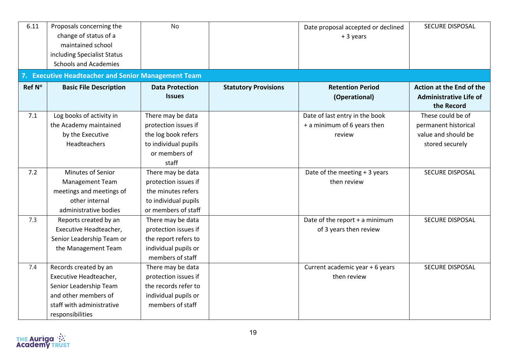| 6.11   | Proposals concerning the<br>change of status of a<br>maintained school<br>including Specialist Status<br><b>Schools and Academies</b> | <b>No</b>                               |                             | Date proposal accepted or declined<br>+ 3 years | SECURE DISPOSAL                                                                |  |  |  |  |
|--------|---------------------------------------------------------------------------------------------------------------------------------------|-----------------------------------------|-----------------------------|-------------------------------------------------|--------------------------------------------------------------------------------|--|--|--|--|
|        | 7. Executive Headteacher and Senior Management Team                                                                                   |                                         |                             |                                                 |                                                                                |  |  |  |  |
| Ref N° | <b>Basic File Description</b>                                                                                                         | <b>Data Protection</b><br><b>Issues</b> | <b>Statutory Provisions</b> | <b>Retention Period</b><br>(Operational)        | <b>Action at the End of the</b><br><b>Administrative Life of</b><br>the Record |  |  |  |  |
| 7.1    | Log books of activity in                                                                                                              | There may be data                       |                             | Date of last entry in the book                  | These could be of                                                              |  |  |  |  |
|        | the Academy maintained                                                                                                                | protection issues if                    |                             | + a minimum of 6 years then                     | permanent historical                                                           |  |  |  |  |
|        | by the Executive                                                                                                                      | the log book refers                     |                             | review                                          | value and should be                                                            |  |  |  |  |
|        | Headteachers                                                                                                                          | to individual pupils                    |                             |                                                 | stored securely                                                                |  |  |  |  |
|        |                                                                                                                                       | or members of                           |                             |                                                 |                                                                                |  |  |  |  |
|        |                                                                                                                                       | staff                                   |                             |                                                 |                                                                                |  |  |  |  |
| 7.2    | Minutes of Senior                                                                                                                     | There may be data                       |                             | Date of the meeting + 3 years                   | SECURE DISPOSAL                                                                |  |  |  |  |
|        | Management Team                                                                                                                       | protection issues if                    |                             | then review                                     |                                                                                |  |  |  |  |
|        | meetings and meetings of                                                                                                              | the minutes refers                      |                             |                                                 |                                                                                |  |  |  |  |
|        | other internal                                                                                                                        | to individual pupils                    |                             |                                                 |                                                                                |  |  |  |  |
|        | administrative bodies                                                                                                                 | or members of staff                     |                             |                                                 |                                                                                |  |  |  |  |
| 7.3    | Reports created by an                                                                                                                 | There may be data                       |                             | Date of the report + a minimum                  | SECURE DISPOSAL                                                                |  |  |  |  |
|        | Executive Headteacher,                                                                                                                | protection issues if                    |                             | of 3 years then review                          |                                                                                |  |  |  |  |
|        | Senior Leadership Team or                                                                                                             | the report refers to                    |                             |                                                 |                                                                                |  |  |  |  |
|        | the Management Team                                                                                                                   | individual pupils or                    |                             |                                                 |                                                                                |  |  |  |  |
|        |                                                                                                                                       | members of staff                        |                             |                                                 |                                                                                |  |  |  |  |
| 7.4    | Records created by an                                                                                                                 | There may be data                       |                             | Current academic year + 6 years                 | <b>SECURE DISPOSAL</b>                                                         |  |  |  |  |
|        | Executive Headteacher,                                                                                                                | protection issues if                    |                             | then review                                     |                                                                                |  |  |  |  |
|        | Senior Leadership Team                                                                                                                | the records refer to                    |                             |                                                 |                                                                                |  |  |  |  |
|        | and other members of                                                                                                                  | individual pupils or                    |                             |                                                 |                                                                                |  |  |  |  |
|        | staff with administrative                                                                                                             | members of staff                        |                             |                                                 |                                                                                |  |  |  |  |
|        | responsibilities                                                                                                                      |                                         |                             |                                                 |                                                                                |  |  |  |  |

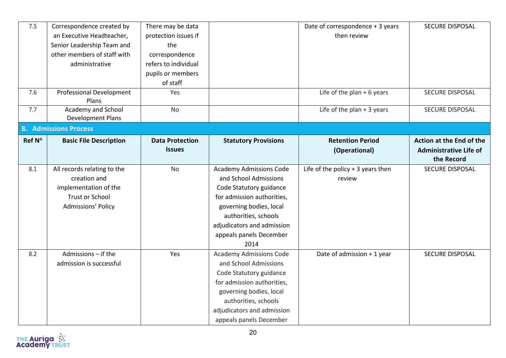| 7.5    | Correspondence created by                | There may be data      |                                | Date of correspondence + 3 years   | SECURE DISPOSAL               |
|--------|------------------------------------------|------------------------|--------------------------------|------------------------------------|-------------------------------|
|        | an Executive Headteacher,                | protection issues if   |                                | then review                        |                               |
|        | Senior Leadership Team and               | the                    |                                |                                    |                               |
|        | other members of staff with              | correspondence         |                                |                                    |                               |
|        | administrative                           | refers to individual   |                                |                                    |                               |
|        |                                          | pupils or members      |                                |                                    |                               |
|        |                                          | of staff               |                                |                                    |                               |
| 7.6    | <b>Professional Development</b><br>Plans | Yes                    |                                | Life of the plan $+6$ years        | <b>SECURE DISPOSAL</b>        |
| 7.7    | Academy and School<br>Development Plans  | No                     |                                | Life of the plan $+3$ years        | SECURE DISPOSAL               |
|        | <b>8. Admissions Process</b>             |                        |                                |                                    |                               |
| Ref N° | <b>Basic File Description</b>            | <b>Data Protection</b> | <b>Statutory Provisions</b>    | <b>Retention Period</b>            | Action at the End of the      |
|        |                                          | <b>Issues</b>          |                                | (Operational)                      | <b>Administrative Life of</b> |
|        |                                          |                        |                                |                                    | the Record                    |
| 8.1    | All records relating to the              | <b>No</b>              | <b>Academy Admissions Code</b> | Life of the policy $+3$ years then | SECURE DISPOSAL               |
|        | creation and                             |                        | and School Admissions          | review                             |                               |
|        | implementation of the                    |                        | Code Statutory guidance        |                                    |                               |
|        | <b>Trust or School</b>                   |                        | for admission authorities,     |                                    |                               |
|        | <b>Admissions' Policy</b>                |                        | governing bodies, local        |                                    |                               |
|        |                                          |                        | authorities, schools           |                                    |                               |
|        |                                          |                        | adjudicators and admission     |                                    |                               |
|        |                                          |                        | appeals panels December        |                                    |                               |
|        |                                          |                        | 2014                           |                                    |                               |
| 8.2    | Admissions - if the                      | Yes                    | <b>Academy Admissions Code</b> | Date of admission + 1 year         | SECURE DISPOSAL               |
|        | admission is successful                  |                        | and School Admissions          |                                    |                               |
|        |                                          |                        | Code Statutory guidance        |                                    |                               |
|        |                                          |                        | for admission authorities,     |                                    |                               |
|        |                                          |                        | governing bodies, local        |                                    |                               |
|        |                                          |                        | authorities, schools           |                                    |                               |
|        |                                          |                        | adjudicators and admission     |                                    |                               |
|        |                                          |                        | appeals panels December        |                                    |                               |

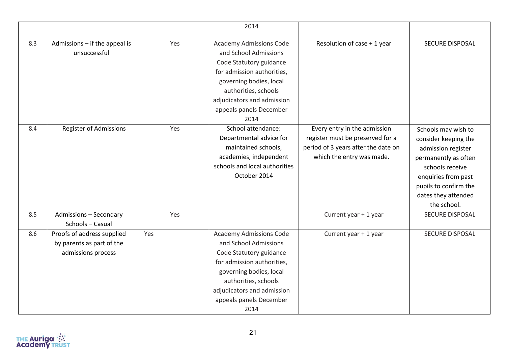|     |                               |     | 2014                           |                                     |                        |
|-----|-------------------------------|-----|--------------------------------|-------------------------------------|------------------------|
| 8.3 | Admissions - if the appeal is | Yes | <b>Academy Admissions Code</b> | Resolution of case + 1 year         | <b>SECURE DISPOSAL</b> |
|     | unsuccessful                  |     | and School Admissions          |                                     |                        |
|     |                               |     | Code Statutory guidance        |                                     |                        |
|     |                               |     | for admission authorities,     |                                     |                        |
|     |                               |     | governing bodies, local        |                                     |                        |
|     |                               |     | authorities, schools           |                                     |                        |
|     |                               |     | adjudicators and admission     |                                     |                        |
|     |                               |     | appeals panels December        |                                     |                        |
|     |                               |     | 2014                           |                                     |                        |
| 8.4 | <b>Register of Admissions</b> | Yes | School attendance:             | Every entry in the admission        | Schools may wish to    |
|     |                               |     | Departmental advice for        | register must be preserved for a    | consider keeping the   |
|     |                               |     | maintained schools,            | period of 3 years after the date on | admission register     |
|     |                               |     | academies, independent         | which the entry was made.           | permanently as often   |
|     |                               |     | schools and local authorities  |                                     | schools receive        |
|     |                               |     | October 2014                   |                                     | enquiries from past    |
|     |                               |     |                                |                                     | pupils to confirm the  |
|     |                               |     |                                |                                     | dates they attended    |
|     |                               |     |                                |                                     | the school.            |
| 8.5 | <b>Admissions - Secondary</b> | Yes |                                | Current year + 1 year               | <b>SECURE DISPOSAL</b> |
|     | Schools - Casual              |     |                                |                                     |                        |
| 8.6 | Proofs of address supplied    | Yes | <b>Academy Admissions Code</b> | Current year + 1 year               | <b>SECURE DISPOSAL</b> |
|     | by parents as part of the     |     | and School Admissions          |                                     |                        |
|     | admissions process            |     | Code Statutory guidance        |                                     |                        |
|     |                               |     | for admission authorities,     |                                     |                        |
|     |                               |     | governing bodies, local        |                                     |                        |
|     |                               |     | authorities, schools           |                                     |                        |
|     |                               |     | adjudicators and admission     |                                     |                        |
|     |                               |     | appeals panels December        |                                     |                        |
|     |                               |     | 2014                           |                                     |                        |

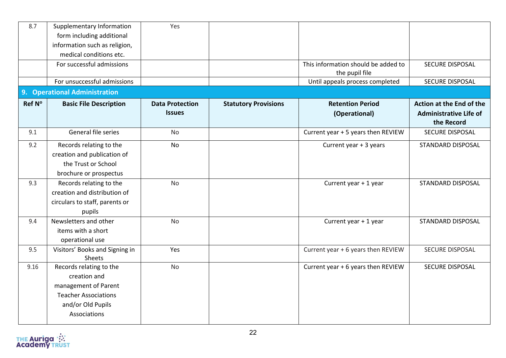| 8.7    | Supplementary Information<br>form including additional<br>information such as religion,<br>medical conditions etc.                  | Yes                                     |                             |                                                       |                                                                         |
|--------|-------------------------------------------------------------------------------------------------------------------------------------|-----------------------------------------|-----------------------------|-------------------------------------------------------|-------------------------------------------------------------------------|
|        | For successful admissions                                                                                                           |                                         |                             | This information should be added to<br>the pupil file | SECURE DISPOSAL                                                         |
|        | For unsuccessful admissions                                                                                                         |                                         |                             | Until appeals process completed                       | <b>SECURE DISPOSAL</b>                                                  |
|        | 9. Operational Administration                                                                                                       |                                         |                             |                                                       |                                                                         |
| Ref N° | <b>Basic File Description</b>                                                                                                       | <b>Data Protection</b><br><b>Issues</b> | <b>Statutory Provisions</b> | <b>Retention Period</b><br>(Operational)              | Action at the End of the<br><b>Administrative Life of</b><br>the Record |
| 9.1    | General file series                                                                                                                 | No                                      |                             | Current year + 5 years then REVIEW                    | <b>SECURE DISPOSAL</b>                                                  |
| 9.2    | Records relating to the<br>creation and publication of<br>the Trust or School<br>brochure or prospectus                             | <b>No</b>                               |                             | Current year + 3 years                                | <b>STANDARD DISPOSAL</b>                                                |
| 9.3    | Records relating to the<br>creation and distribution of<br>circulars to staff, parents or<br>pupils                                 | <b>No</b>                               |                             | Current year + 1 year                                 | <b>STANDARD DISPOSAL</b>                                                |
| 9.4    | Newsletters and other<br>items with a short<br>operational use                                                                      | <b>No</b>                               |                             | Current year + 1 year                                 | <b>STANDARD DISPOSAL</b>                                                |
| 9.5    | Visitors' Books and Signing in<br>Sheets                                                                                            | Yes                                     |                             | Current year + 6 years then REVIEW                    | SECURE DISPOSAL                                                         |
| 9.16   | Records relating to the<br>creation and<br>management of Parent<br><b>Teacher Associations</b><br>and/or Old Pupils<br>Associations | <b>No</b>                               |                             | Current year + 6 years then REVIEW                    | <b>SECURE DISPOSAL</b>                                                  |

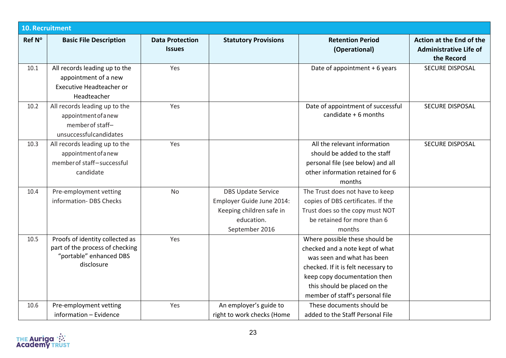|        | <b>10. Recruitment</b>                                                                                      |                                         |                                                                                                                    |                                                                                                                                                                                                                                           |                                                                         |  |  |
|--------|-------------------------------------------------------------------------------------------------------------|-----------------------------------------|--------------------------------------------------------------------------------------------------------------------|-------------------------------------------------------------------------------------------------------------------------------------------------------------------------------------------------------------------------------------------|-------------------------------------------------------------------------|--|--|
| Ref N° | <b>Basic File Description</b>                                                                               | <b>Data Protection</b><br><b>Issues</b> | <b>Statutory Provisions</b>                                                                                        | <b>Retention Period</b><br>(Operational)                                                                                                                                                                                                  | Action at the End of the<br><b>Administrative Life of</b><br>the Record |  |  |
| 10.1   | All records leading up to the<br>appointment of a new<br><b>Executive Headteacher or</b><br>Headteacher     | Yes                                     |                                                                                                                    | Date of appointment + 6 years                                                                                                                                                                                                             | <b>SECURE DISPOSAL</b>                                                  |  |  |
| 10.2   | All records leading up to the<br>appointment of a new<br>member of staff-<br>unsuccessfulcandidates         | Yes                                     |                                                                                                                    | Date of appointment of successful<br>candidate $+6$ months                                                                                                                                                                                | <b>SECURE DISPOSAL</b>                                                  |  |  |
| 10.3   | All records leading up to the<br>appointment of a new<br>member of staff-successful<br>candidate            | Yes                                     |                                                                                                                    | All the relevant information<br>should be added to the staff<br>personal file (see below) and all<br>other information retained for 6<br>months                                                                                           | <b>SECURE DISPOSAL</b>                                                  |  |  |
| 10.4   | Pre-employment vetting<br>information-DBS Checks                                                            | <b>No</b>                               | <b>DBS Update Service</b><br>Employer Guide June 2014:<br>Keeping children safe in<br>education.<br>September 2016 | The Trust does not have to keep<br>copies of DBS certificates. If the<br>Trust does so the copy must NOT<br>be retained for more than 6<br>months                                                                                         |                                                                         |  |  |
| 10.5   | Proofs of identity collected as<br>part of the process of checking<br>"portable" enhanced DBS<br>disclosure | Yes                                     |                                                                                                                    | Where possible these should be<br>checked and a note kept of what<br>was seen and what has been<br>checked. If it is felt necessary to<br>keep copy documentation then<br>this should be placed on the<br>member of staff's personal file |                                                                         |  |  |
| 10.6   | Pre-employment vetting<br>information - Evidence                                                            | Yes                                     | An employer's guide to<br>right to work checks (Home                                                               | These documents should be<br>added to the Staff Personal File                                                                                                                                                                             |                                                                         |  |  |

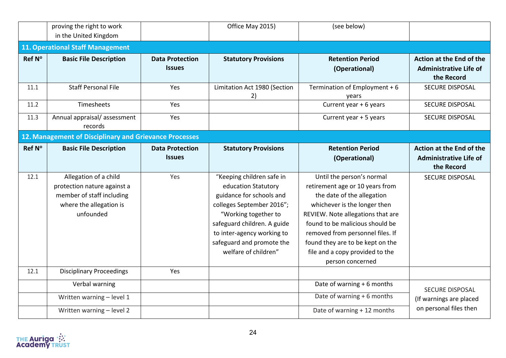|        | proving the right to work                                                                                                 |                                         | Office May 2015)                                                                                                                                                                                                                                    | (see below)                                                                                                                                                                                                                                                                                                                       |                                                                         |
|--------|---------------------------------------------------------------------------------------------------------------------------|-----------------------------------------|-----------------------------------------------------------------------------------------------------------------------------------------------------------------------------------------------------------------------------------------------------|-----------------------------------------------------------------------------------------------------------------------------------------------------------------------------------------------------------------------------------------------------------------------------------------------------------------------------------|-------------------------------------------------------------------------|
|        | in the United Kingdom                                                                                                     |                                         |                                                                                                                                                                                                                                                     |                                                                                                                                                                                                                                                                                                                                   |                                                                         |
|        | <b>11. Operational Staff Management</b>                                                                                   |                                         |                                                                                                                                                                                                                                                     |                                                                                                                                                                                                                                                                                                                                   |                                                                         |
| Ref N° | <b>Basic File Description</b>                                                                                             | <b>Data Protection</b><br><b>Issues</b> | <b>Statutory Provisions</b>                                                                                                                                                                                                                         | <b>Retention Period</b><br>(Operational)                                                                                                                                                                                                                                                                                          | Action at the End of the<br><b>Administrative Life of</b><br>the Record |
| 11.1   | <b>Staff Personal File</b>                                                                                                | Yes                                     | Limitation Act 1980 (Section<br>2)                                                                                                                                                                                                                  | Termination of Employment + 6<br>years                                                                                                                                                                                                                                                                                            | <b>SECURE DISPOSAL</b>                                                  |
| 11.2   | Timesheets                                                                                                                | Yes                                     |                                                                                                                                                                                                                                                     | Current year + 6 years                                                                                                                                                                                                                                                                                                            | <b>SECURE DISPOSAL</b>                                                  |
| 11.3   | Annual appraisal/assessment<br>records                                                                                    | Yes                                     |                                                                                                                                                                                                                                                     | Current year + 5 years                                                                                                                                                                                                                                                                                                            | SECURE DISPOSAL                                                         |
|        | 12. Management of Disciplinary and Grievance Processes                                                                    |                                         |                                                                                                                                                                                                                                                     |                                                                                                                                                                                                                                                                                                                                   |                                                                         |
| Ref Nº | <b>Basic File Description</b>                                                                                             | <b>Data Protection</b><br><b>Issues</b> | <b>Statutory Provisions</b>                                                                                                                                                                                                                         | <b>Retention Period</b><br>(Operational)                                                                                                                                                                                                                                                                                          | Action at the End of the<br><b>Administrative Life of</b><br>the Record |
| 12.1   | Allegation of a child<br>protection nature against a<br>member of staff including<br>where the allegation is<br>unfounded | Yes                                     | "Keeping children safe in<br>education Statutory<br>guidance for schools and<br>colleges September 2016";<br>"Working together to<br>safeguard children. A guide<br>to inter-agency working to<br>safeguard and promote the<br>welfare of children" | Until the person's normal<br>retirement age or 10 years from<br>the date of the allegation<br>whichever is the longer then<br>REVIEW. Note allegations that are<br>found to be malicious should be<br>removed from personnel files. If<br>found they are to be kept on the<br>file and a copy provided to the<br>person concerned | <b>SECURE DISPOSAL</b>                                                  |
| 12.1   | <b>Disciplinary Proceedings</b>                                                                                           | Yes                                     |                                                                                                                                                                                                                                                     |                                                                                                                                                                                                                                                                                                                                   |                                                                         |
|        | Verbal warning                                                                                                            |                                         |                                                                                                                                                                                                                                                     | Date of warning + 6 months                                                                                                                                                                                                                                                                                                        | SECURE DISPOSAL                                                         |
|        | Written warning - level 1                                                                                                 |                                         |                                                                                                                                                                                                                                                     | Date of warning + 6 months                                                                                                                                                                                                                                                                                                        | (If warnings are placed                                                 |
|        | Written warning - level 2                                                                                                 |                                         |                                                                                                                                                                                                                                                     | Date of warning + 12 months                                                                                                                                                                                                                                                                                                       | on personal files then                                                  |

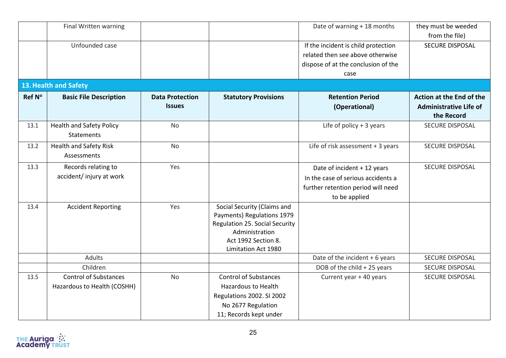|        | Final Written warning                                       |                                         |                                                                                                                                                                    | Date of warning + 18 months                                                                                              | they must be weeded<br>from the file)                                   |
|--------|-------------------------------------------------------------|-----------------------------------------|--------------------------------------------------------------------------------------------------------------------------------------------------------------------|--------------------------------------------------------------------------------------------------------------------------|-------------------------------------------------------------------------|
|        | Unfounded case                                              |                                         |                                                                                                                                                                    | If the incident is child protection<br>related then see above otherwise<br>dispose of at the conclusion of the<br>case   | SECURE DISPOSAL                                                         |
|        | 13. Health and Safety                                       |                                         |                                                                                                                                                                    |                                                                                                                          |                                                                         |
| Ref N° | <b>Basic File Description</b>                               | <b>Data Protection</b><br><b>Issues</b> | <b>Statutory Provisions</b>                                                                                                                                        | <b>Retention Period</b><br>(Operational)                                                                                 | Action at the End of the<br><b>Administrative Life of</b><br>the Record |
| 13.1   | <b>Health and Safety Policy</b><br><b>Statements</b>        | No                                      |                                                                                                                                                                    | Life of policy $+3$ years                                                                                                | <b>SECURE DISPOSAL</b>                                                  |
| 13.2   | <b>Health and Safety Risk</b><br>Assessments                | No                                      |                                                                                                                                                                    | Life of risk assessment + 3 years                                                                                        | SECURE DISPOSAL                                                         |
| 13.3   | Records relating to<br>accident/injury at work              | Yes                                     |                                                                                                                                                                    | Date of incident + 12 years<br>In the case of serious accidents a<br>further retention period will need<br>to be applied | SECURE DISPOSAL                                                         |
| 13.4   | <b>Accident Reporting</b>                                   | Yes                                     | Social Security (Claims and<br>Payments) Regulations 1979<br><b>Regulation 25. Social Security</b><br>Administration<br>Act 1992 Section 8.<br>Limitation Act 1980 |                                                                                                                          |                                                                         |
|        | Adults                                                      |                                         |                                                                                                                                                                    | Date of the incident + 6 years                                                                                           | <b>SECURE DISPOSAL</b>                                                  |
|        | Children                                                    |                                         |                                                                                                                                                                    | DOB of the child + 25 years                                                                                              | SECURE DISPOSAL                                                         |
| 13.5   | <b>Control of Substances</b><br>Hazardous to Health (COSHH) | No                                      | <b>Control of Substances</b><br><b>Hazardous to Health</b><br>Regulations 2002. SI 2002<br>No 2677 Regulation<br>11; Records kept under                            | Current year + 40 years                                                                                                  | <b>SECURE DISPOSAL</b>                                                  |

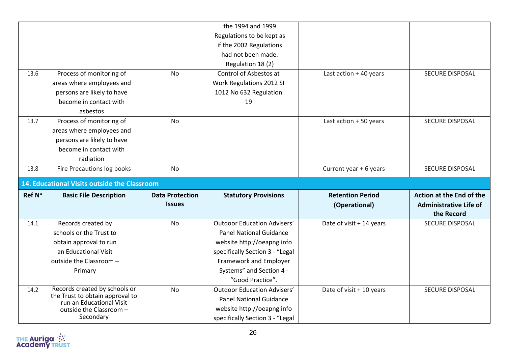|        |                                                             |                        | the 1994 and 1999                                             |                          |                               |
|--------|-------------------------------------------------------------|------------------------|---------------------------------------------------------------|--------------------------|-------------------------------|
|        |                                                             |                        | Regulations to be kept as                                     |                          |                               |
|        |                                                             |                        | if the 2002 Regulations                                       |                          |                               |
|        |                                                             |                        | had not been made.                                            |                          |                               |
|        |                                                             |                        | Regulation 18 (2)                                             |                          |                               |
| 13.6   | Process of monitoring of                                    | No                     | Control of Asbestos at                                        | Last action $+40$ years  | SECURE DISPOSAL               |
|        | areas where employees and                                   |                        | Work Regulations 2012 SI                                      |                          |                               |
|        | persons are likely to have                                  |                        | 1012 No 632 Regulation                                        |                          |                               |
|        | become in contact with                                      |                        | 19                                                            |                          |                               |
|        | asbestos                                                    |                        |                                                               |                          |                               |
| 13.7   | Process of monitoring of                                    | <b>No</b>              |                                                               | Last action + 50 years   | <b>SECURE DISPOSAL</b>        |
|        | areas where employees and                                   |                        |                                                               |                          |                               |
|        | persons are likely to have                                  |                        |                                                               |                          |                               |
|        | become in contact with                                      |                        |                                                               |                          |                               |
|        | radiation                                                   |                        |                                                               |                          |                               |
| 13.8   | Fire Precautions log books                                  | No                     |                                                               | Current year + 6 years   | SECURE DISPOSAL               |
|        |                                                             |                        |                                                               |                          |                               |
|        | 14. Educational Visits outside the Classroom                |                        |                                                               |                          |                               |
| Ref N° | <b>Basic File Description</b>                               | <b>Data Protection</b> | <b>Statutory Provisions</b>                                   | <b>Retention Period</b>  | Action at the End of the      |
|        |                                                             | <b>Issues</b>          |                                                               | (Operational)            | <b>Administrative Life of</b> |
|        |                                                             |                        |                                                               |                          | the Record                    |
| 14.1   | Records created by                                          | No                     | <b>Outdoor Education Advisers'</b>                            | Date of visit + 14 years | <b>SECURE DISPOSAL</b>        |
|        | schools or the Trust to                                     |                        | <b>Panel National Guidance</b>                                |                          |                               |
|        | obtain approval to run                                      |                        | website http://oeapng.info                                    |                          |                               |
|        | an Educational Visit                                        |                        | specifically Section 3 - "Legal                               |                          |                               |
|        | outside the Classroom -                                     |                        | Framework and Employer                                        |                          |                               |
|        | Primary                                                     |                        | Systems" and Section 4 -                                      |                          |                               |
|        |                                                             |                        | "Good Practice".                                              |                          |                               |
| 14.2   | Records created by schools or                               | No                     | <b>Outdoor Education Advisers'</b>                            | Date of visit + 10 years | <b>SECURE DISPOSAL</b>        |
|        | the Trust to obtain approval to<br>run an Educational Visit |                        | <b>Panel National Guidance</b>                                |                          |                               |
|        | outside the Classroom -<br>Secondary                        |                        | website http://oeapng.info<br>specifically Section 3 - "Legal |                          |                               |

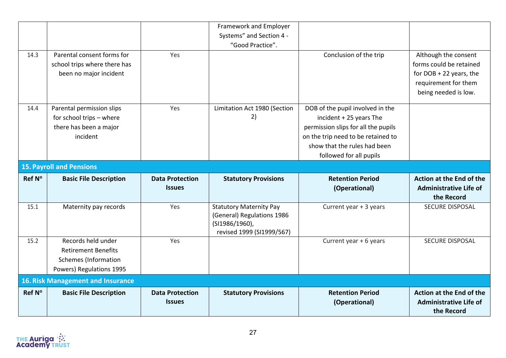|        |                                                                                                             |                                         | Framework and Employer<br>Systems" and Section 4 -<br>"Good Practice".                                      |                                                                                                                                                                                                     |                                                                                                                              |
|--------|-------------------------------------------------------------------------------------------------------------|-----------------------------------------|-------------------------------------------------------------------------------------------------------------|-----------------------------------------------------------------------------------------------------------------------------------------------------------------------------------------------------|------------------------------------------------------------------------------------------------------------------------------|
| 14.3   | Parental consent forms for<br>school trips where there has<br>been no major incident                        | Yes                                     |                                                                                                             | Conclusion of the trip                                                                                                                                                                              | Although the consent<br>forms could be retained<br>for $DOB + 22$ years, the<br>requirement for them<br>being needed is low. |
| 14.4   | Parental permission slips<br>for school trips - where<br>there has been a major<br>incident                 | Yes                                     | Limitation Act 1980 (Section<br>2)                                                                          | DOB of the pupil involved in the<br>incident + 25 years The<br>permission slips for all the pupils<br>on the trip need to be retained to<br>show that the rules had been<br>followed for all pupils |                                                                                                                              |
|        | <b>15. Payroll and Pensions</b>                                                                             |                                         |                                                                                                             |                                                                                                                                                                                                     |                                                                                                                              |
| Ref N° | <b>Basic File Description</b>                                                                               | <b>Data Protection</b><br><b>Issues</b> | <b>Statutory Provisions</b>                                                                                 | <b>Retention Period</b><br>(Operational)                                                                                                                                                            | Action at the End of the<br><b>Administrative Life of</b><br>the Record                                                      |
| 15.1   | Maternity pay records                                                                                       | Yes                                     | <b>Statutory Maternity Pay</b><br>(General) Regulations 1986<br>(SI1986/1960),<br>revised 1999 (SI1999/567) | Current year + 3 years                                                                                                                                                                              | <b>SECURE DISPOSAL</b>                                                                                                       |
| 15.2   | Records held under<br><b>Retirement Benefits</b><br><b>Schemes</b> (Information<br>Powers) Regulations 1995 | Yes                                     |                                                                                                             | Current year + 6 years                                                                                                                                                                              | <b>SECURE DISPOSAL</b>                                                                                                       |
|        |                                                                                                             |                                         |                                                                                                             |                                                                                                                                                                                                     |                                                                                                                              |
|        | <b>16. Risk Management and Insurance</b>                                                                    |                                         |                                                                                                             |                                                                                                                                                                                                     |                                                                                                                              |

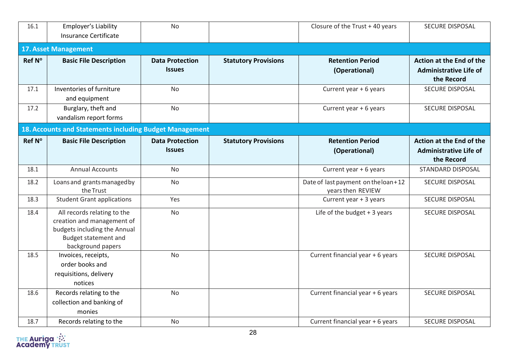| 16.1   | Employer's Liability<br>Insurance Certificate                                                                                                 | <b>No</b>                               |                             | Closure of the Trust +40 years                             | <b>SECURE DISPOSAL</b>                                                  |
|--------|-----------------------------------------------------------------------------------------------------------------------------------------------|-----------------------------------------|-----------------------------|------------------------------------------------------------|-------------------------------------------------------------------------|
|        | <b>17. Asset Management</b>                                                                                                                   |                                         |                             |                                                            |                                                                         |
| Ref N° | <b>Basic File Description</b>                                                                                                                 | <b>Data Protection</b><br><b>Issues</b> | <b>Statutory Provisions</b> | <b>Retention Period</b><br>(Operational)                   | Action at the End of the<br><b>Administrative Life of</b><br>the Record |
| 17.1   | Inventories of furniture<br>and equipment                                                                                                     | <b>No</b>                               |                             | Current year + 6 years                                     | <b>SECURE DISPOSAL</b>                                                  |
| 17.2   | Burglary, theft and<br>vandalism report forms                                                                                                 | No                                      |                             | Current year + 6 years                                     | <b>SECURE DISPOSAL</b>                                                  |
|        | 18. Accounts and Statements including Budget Management                                                                                       |                                         |                             |                                                            |                                                                         |
| Ref N° | <b>Basic File Description</b>                                                                                                                 | <b>Data Protection</b><br><b>Issues</b> | <b>Statutory Provisions</b> | <b>Retention Period</b><br>(Operational)                   | Action at the End of the<br><b>Administrative Life of</b><br>the Record |
| 18.1   | <b>Annual Accounts</b>                                                                                                                        | No                                      |                             | Current year + 6 years                                     | <b>STANDARD DISPOSAL</b>                                                |
| 18.2   | Loans and grants managed by<br>the Trust                                                                                                      | <b>No</b>                               |                             | Date of last payment on the loan + 12<br>years then REVIEW | <b>SECURE DISPOSAL</b>                                                  |
| 18.3   | <b>Student Grant applications</b>                                                                                                             | Yes                                     |                             | Current year + 3 years                                     | SECURE DISPOSAL                                                         |
| 18.4   | All records relating to the<br>creation and management of<br>budgets including the Annual<br><b>Budget statement and</b><br>background papers | <b>No</b>                               |                             | Life of the budget $+3$ years                              | <b>SECURE DISPOSAL</b>                                                  |
| 18.5   | Invoices, receipts,<br>order books and<br>requisitions, delivery<br>notices                                                                   | <b>No</b>                               |                             | Current financial year + 6 years                           | <b>SECURE DISPOSAL</b>                                                  |
| 18.6   | Records relating to the<br>collection and banking of<br>monies                                                                                | <b>No</b>                               |                             | Current financial year + 6 years                           | <b>SECURE DISPOSAL</b>                                                  |
| 18.7   | Records relating to the                                                                                                                       | <b>No</b>                               |                             | Current financial year + 6 years                           | <b>SECURE DISPOSAL</b>                                                  |

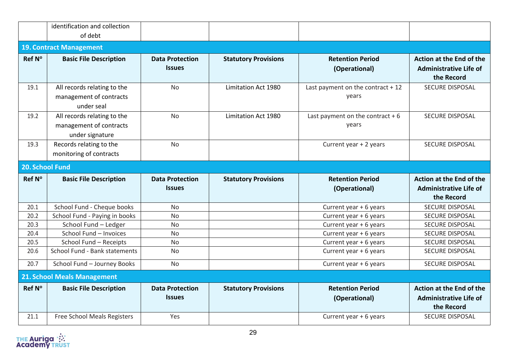|                 | identification and collection<br>of debt                                  |                                         |                             |                                             |                                                                                |
|-----------------|---------------------------------------------------------------------------|-----------------------------------------|-----------------------------|---------------------------------------------|--------------------------------------------------------------------------------|
|                 | <b>19. Contract Management</b>                                            |                                         |                             |                                             |                                                                                |
| Ref N°          |                                                                           |                                         |                             | <b>Retention Period</b>                     | Action at the End of the                                                       |
|                 | <b>Basic File Description</b>                                             | <b>Data Protection</b><br><b>Issues</b> | <b>Statutory Provisions</b> | (Operational)                               | <b>Administrative Life of</b><br>the Record                                    |
| 19.1            | All records relating to the<br>management of contracts<br>under seal      | <b>No</b>                               | Limitation Act 1980         | Last payment on the contract $+12$<br>years | <b>SECURE DISPOSAL</b>                                                         |
| 19.2            | All records relating to the<br>management of contracts<br>under signature | <b>No</b>                               | Limitation Act 1980         | Last payment on the contract $+6$<br>years  | SECURE DISPOSAL                                                                |
| 19.3            | Records relating to the<br>monitoring of contracts                        | <b>No</b>                               |                             | Current year + 2 years                      | <b>SECURE DISPOSAL</b>                                                         |
| 20. School Fund |                                                                           |                                         |                             |                                             |                                                                                |
|                 |                                                                           |                                         |                             |                                             |                                                                                |
| Ref N°          | <b>Basic File Description</b>                                             | <b>Data Protection</b>                  | <b>Statutory Provisions</b> | <b>Retention Period</b>                     | <b>Action at the End of the</b>                                                |
|                 |                                                                           | <b>Issues</b>                           |                             | (Operational)                               | <b>Administrative Life of</b><br>the Record                                    |
| 20.1            | School Fund - Cheque books                                                | No                                      |                             | Current year + 6 years                      | SECURE DISPOSAL                                                                |
| 20.2            | School Fund - Paying in books                                             | <b>No</b>                               |                             | Current year + 6 years                      | <b>SECURE DISPOSAL</b>                                                         |
| 20.3            | School Fund - Ledger                                                      | No                                      |                             | Current year + 6 years                      | <b>SECURE DISPOSAL</b>                                                         |
| 20.4            | School Fund - Invoices                                                    | <b>No</b>                               |                             | Current year + 6 years                      | SECURE DISPOSAL                                                                |
| 20.5            | School Fund - Receipts                                                    | <b>No</b>                               |                             | Current year + 6 years                      | <b>SECURE DISPOSAL</b>                                                         |
| 20.6            | School Fund - Bank statements                                             | No                                      |                             | Current year + 6 years                      | SECURE DISPOSAL                                                                |
| 20.7            | School Fund - Journey Books                                               | <b>No</b>                               |                             | Current year + 6 years                      | <b>SECURE DISPOSAL</b>                                                         |
|                 | <b>21. School Meals Management</b>                                        |                                         |                             |                                             |                                                                                |
| Ref N°          | <b>Basic File Description</b>                                             | <b>Data Protection</b><br><b>Issues</b> | <b>Statutory Provisions</b> | <b>Retention Period</b><br>(Operational)    | <b>Action at the End of the</b><br><b>Administrative Life of</b><br>the Record |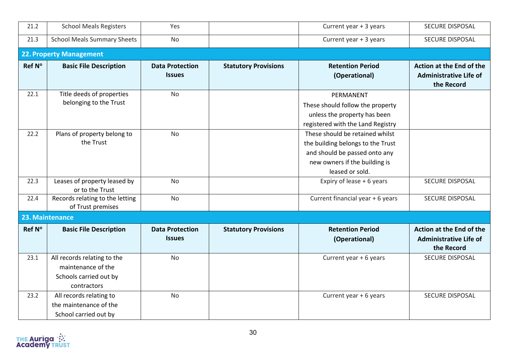| 21.2   | <b>School Meals Registers</b>                                                              | Yes                                     |                             | Current year + 3 years                                                                                                                                    | <b>SECURE DISPOSAL</b>                                                  |
|--------|--------------------------------------------------------------------------------------------|-----------------------------------------|-----------------------------|-----------------------------------------------------------------------------------------------------------------------------------------------------------|-------------------------------------------------------------------------|
| 21.3   | <b>School Meals Summary Sheets</b>                                                         | <b>No</b>                               |                             | Current year + 3 years                                                                                                                                    | SECURE DISPOSAL                                                         |
|        | 22. Property Management                                                                    |                                         |                             |                                                                                                                                                           |                                                                         |
| Ref N° | <b>Basic File Description</b>                                                              | <b>Data Protection</b><br><b>Issues</b> | <b>Statutory Provisions</b> | <b>Retention Period</b><br>(Operational)                                                                                                                  | Action at the End of the<br><b>Administrative Life of</b><br>the Record |
| 22.1   | Title deeds of properties<br>belonging to the Trust                                        | <b>No</b>                               |                             | PERMANENT<br>These should follow the property<br>unless the property has been<br>registered with the Land Registry                                        |                                                                         |
| 22.2   | Plans of property belong to<br>the Trust                                                   | <b>No</b>                               |                             | These should be retained whilst<br>the building belongs to the Trust<br>and should be passed onto any<br>new owners if the building is<br>leased or sold. |                                                                         |
| 22.3   | Leases of property leased by<br>or to the Trust                                            | <b>No</b>                               |                             | Expiry of lease + 6 years                                                                                                                                 | SECURE DISPOSAL                                                         |
| 22.4   | Records relating to the letting<br>of Trust premises                                       | <b>No</b>                               |                             | Current financial year + 6 years                                                                                                                          | <b>SECURE DISPOSAL</b>                                                  |
|        | 23. Maintenance                                                                            |                                         |                             |                                                                                                                                                           |                                                                         |
| Ref N° | <b>Basic File Description</b>                                                              | <b>Data Protection</b><br><b>Issues</b> | <b>Statutory Provisions</b> | <b>Retention Period</b><br>(Operational)                                                                                                                  | Action at the End of the<br><b>Administrative Life of</b><br>the Record |
| 23.1   | All records relating to the<br>maintenance of the<br>Schools carried out by<br>contractors | <b>No</b>                               |                             | Current year + 6 years                                                                                                                                    | SECURE DISPOSAL                                                         |
| 23.2   | All records relating to<br>the maintenance of the<br>School carried out by                 | <b>No</b>                               |                             | Current year + 6 years                                                                                                                                    | SECURE DISPOSAL                                                         |

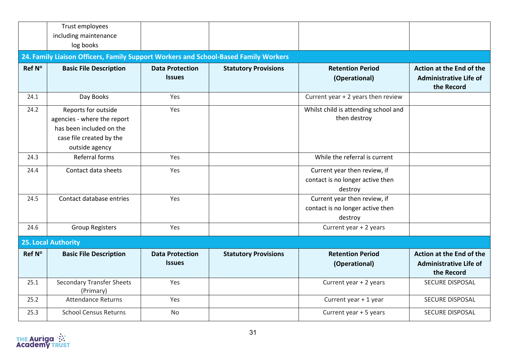|        | Trust employees<br>including maintenance                                                                                     |                                         |                             |                                                                             |                                                                         |
|--------|------------------------------------------------------------------------------------------------------------------------------|-----------------------------------------|-----------------------------|-----------------------------------------------------------------------------|-------------------------------------------------------------------------|
|        | log books                                                                                                                    |                                         |                             |                                                                             |                                                                         |
|        | 24. Family Liaison Officers, Family Support Workers and School-Based Family Workers                                          |                                         |                             |                                                                             |                                                                         |
| Ref N° | <b>Basic File Description</b>                                                                                                | <b>Data Protection</b><br><b>Issues</b> | <b>Statutory Provisions</b> | <b>Retention Period</b><br>(Operational)                                    | Action at the End of the<br><b>Administrative Life of</b><br>the Record |
| 24.1   | Day Books                                                                                                                    | Yes                                     |                             | Current year + 2 years then review                                          |                                                                         |
| 24.2   | Reports for outside<br>agencies - where the report<br>has been included on the<br>case file created by the<br>outside agency | Yes                                     |                             | Whilst child is attending school and<br>then destroy                        |                                                                         |
| 24.3   | Referral forms                                                                                                               | Yes                                     |                             | While the referral is current                                               |                                                                         |
| 24.4   | Contact data sheets                                                                                                          | Yes                                     |                             | Current year then review, if<br>contact is no longer active then<br>destroy |                                                                         |
| 24.5   | Contact database entries                                                                                                     | Yes                                     |                             | Current year then review, if<br>contact is no longer active then<br>destroy |                                                                         |
| 24.6   | <b>Group Registers</b>                                                                                                       | Yes                                     |                             | Current year + 2 years                                                      |                                                                         |
|        | 25. Local Authority                                                                                                          |                                         |                             |                                                                             |                                                                         |
| Ref N° | <b>Basic File Description</b>                                                                                                | <b>Data Protection</b><br><b>Issues</b> | <b>Statutory Provisions</b> | <b>Retention Period</b><br>(Operational)                                    | Action at the End of the<br><b>Administrative Life of</b><br>the Record |
| 25.1   | <b>Secondary Transfer Sheets</b><br>(Primary)                                                                                | Yes                                     |                             | Current year + 2 years                                                      | <b>SECURE DISPOSAL</b>                                                  |
| 25.2   | <b>Attendance Returns</b>                                                                                                    | Yes                                     |                             | Current year + 1 year                                                       | SECURE DISPOSAL                                                         |
| 25.3   | <b>School Census Returns</b>                                                                                                 | <b>No</b>                               |                             | Current year + 5 years                                                      | <b>SECURE DISPOSAL</b>                                                  |